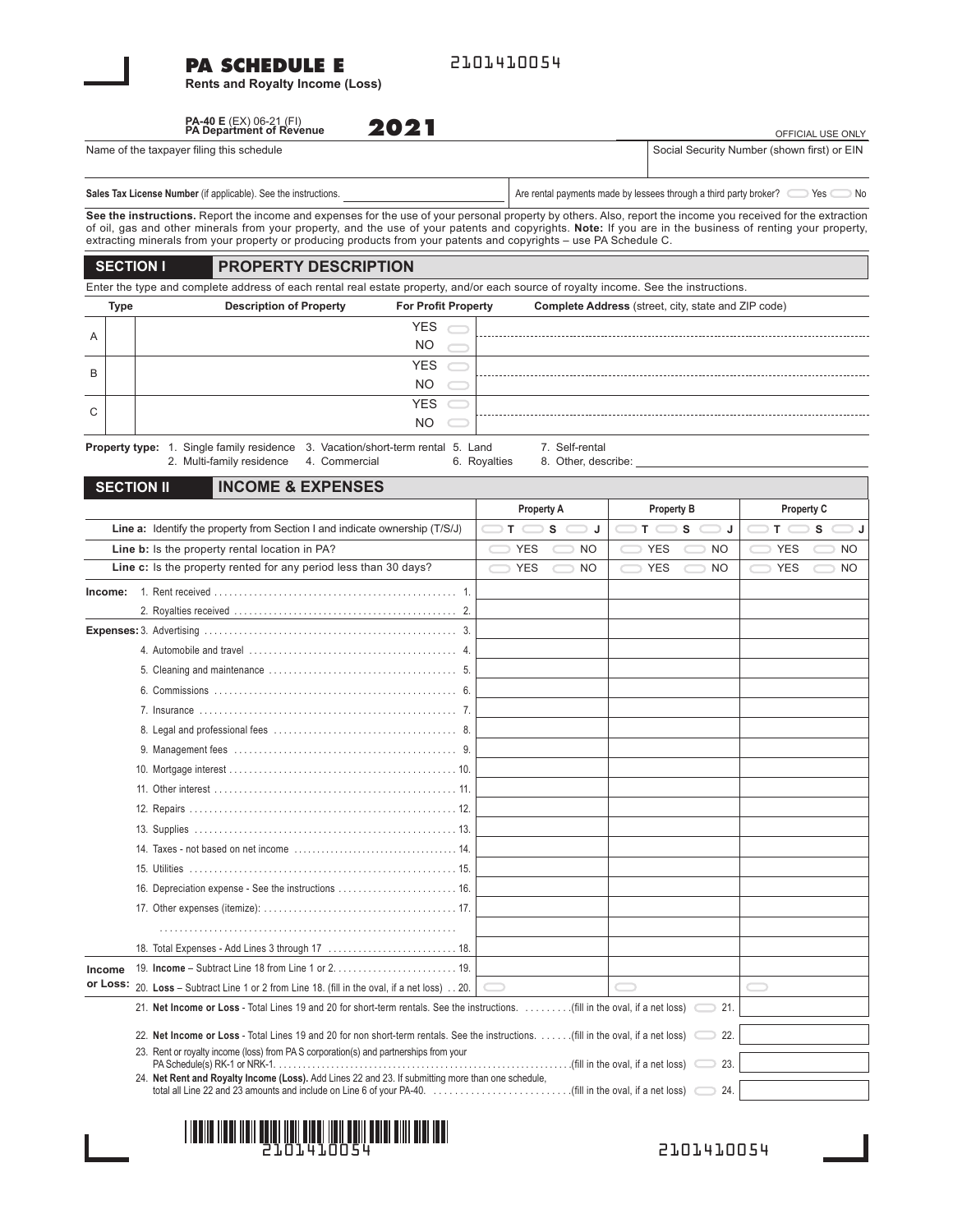#### **PA SCHEDULE E**

**Rents and Royalty Income (Loss)**

2101410054

## **PA-40 E** (EX) 06-21 (FI) **PA Department of Revenue**

**2021**

#### Name of the taxpayer filing this schedule

# Sales Tax License Number (if applicable). See the instructions. Are rental payments made by lessees through a third party broker? Yes No

OFFICIAL USE ONLY

Social Security Number (shown first) or EIN

**See the instructions.** Report the income and expenses for the use of your personal property by others. Also, report the income you received for the extraction of oil, gas and other minerals from your property, and the use of your patents and copyrights. **Note:** If you are in the business of renting your property, extracting minerals from your property or producing products from your patents and copyrights – use PA Schedule C.

#### **SECTION I PROPERTY DESCRIPTION**

Enter the type and complete address of each rental real estate property, and/or each source of royalty income. See the instructions.

|   | Type                                                                                                       | <b>Description of Property</b><br><b>For Profit Property</b> |  |  | <b>Complete Address</b> (street, city, state and ZIP code) |  |  |  |  |
|---|------------------------------------------------------------------------------------------------------------|--------------------------------------------------------------|--|--|------------------------------------------------------------|--|--|--|--|
| A |                                                                                                            | <b>YES</b>                                                   |  |  |                                                            |  |  |  |  |
|   |                                                                                                            | <b>NO</b>                                                    |  |  |                                                            |  |  |  |  |
| B |                                                                                                            | <b>YES</b>                                                   |  |  |                                                            |  |  |  |  |
|   |                                                                                                            | <b>NO</b>                                                    |  |  |                                                            |  |  |  |  |
| C |                                                                                                            | YES                                                          |  |  |                                                            |  |  |  |  |
|   |                                                                                                            | N <sub>O</sub>                                               |  |  |                                                            |  |  |  |  |
|   | <b>Draparty type:</b> $1$ Cingle family regidence $2$ Vegetian/abort term reatel $5$ Land<br>7 Colf rontal |                                                              |  |  |                                                            |  |  |  |  |

**Property type:** 1. Single family residence 3. Vacation/short-term rental 5. Land 7. Self-rental<br>2. Multi-family residence 4. Commercial 6. Royalties 8. Other, des 2. Multi-family residence 4. Commercial 6. Royalties 8. Other, describe:

## **SECTION II INCOME & EXPENSES**

|                                                                                                 | <b>Property A</b>                                                                                                                         | <b>Property B</b>        | Property C              |  |  |  |
|-------------------------------------------------------------------------------------------------|-------------------------------------------------------------------------------------------------------------------------------------------|--------------------------|-------------------------|--|--|--|
| Line a: Identify the property from Section I and indicate ownership (T/S/J)                     | т<br>s<br>J                                                                                                                               | T <sub>0</sub><br>s<br>J | T.<br>s                 |  |  |  |
| Line b: Is the property rental location in PA?                                                  | <b>YES</b><br><b>NO</b>                                                                                                                   | <b>YES</b><br><b>NO</b>  | <b>YES</b><br><b>NO</b> |  |  |  |
| Line c: Is the property rented for any period less than 30 days?                                | <b>YES</b><br><b>NO</b>                                                                                                                   | <b>YES</b><br><b>NO</b>  | <b>YES</b><br><b>NO</b> |  |  |  |
| Income:                                                                                         |                                                                                                                                           |                          |                         |  |  |  |
|                                                                                                 |                                                                                                                                           |                          |                         |  |  |  |
|                                                                                                 |                                                                                                                                           |                          |                         |  |  |  |
|                                                                                                 |                                                                                                                                           |                          |                         |  |  |  |
|                                                                                                 |                                                                                                                                           |                          |                         |  |  |  |
|                                                                                                 |                                                                                                                                           |                          |                         |  |  |  |
|                                                                                                 |                                                                                                                                           |                          |                         |  |  |  |
|                                                                                                 |                                                                                                                                           |                          |                         |  |  |  |
|                                                                                                 |                                                                                                                                           |                          |                         |  |  |  |
|                                                                                                 |                                                                                                                                           |                          |                         |  |  |  |
|                                                                                                 |                                                                                                                                           |                          |                         |  |  |  |
|                                                                                                 |                                                                                                                                           |                          |                         |  |  |  |
|                                                                                                 |                                                                                                                                           |                          |                         |  |  |  |
|                                                                                                 |                                                                                                                                           |                          |                         |  |  |  |
|                                                                                                 |                                                                                                                                           |                          |                         |  |  |  |
| 16. Depreciation expense - See the instructions  16.                                            |                                                                                                                                           |                          |                         |  |  |  |
|                                                                                                 |                                                                                                                                           |                          |                         |  |  |  |
|                                                                                                 |                                                                                                                                           |                          |                         |  |  |  |
|                                                                                                 |                                                                                                                                           |                          |                         |  |  |  |
| Income                                                                                          |                                                                                                                                           |                          |                         |  |  |  |
| or Loss:<br>20. Loss - Subtract Line 1 or 2 from Line 18. (fill in the oval, if a net loss) 20. |                                                                                                                                           |                          |                         |  |  |  |
|                                                                                                 | 21. Net Income or Loss - Total Lines 19 and 20 for short-term rentals. See the instructions. (fill in the oval, if a net loss)<br>21.     |                          |                         |  |  |  |
|                                                                                                 | 22.<br>22. Net Income or Loss - Total Lines 19 and 20 for non short-term rentals. See the instructions. (fill in the oval, if a net loss) |                          |                         |  |  |  |
| 23. Rent or royalty income (loss) from PA S corporation(s) and partnerships from your           |                                                                                                                                           |                          |                         |  |  |  |
|                                                                                                 | 23.                                                                                                                                       |                          |                         |  |  |  |
|                                                                                                 | 24. Net Rent and Royalty Income (Loss). Add Lines 22 and 23. If submitting more than one schedule,<br>24.                                 |                          |                         |  |  |  |



2101410054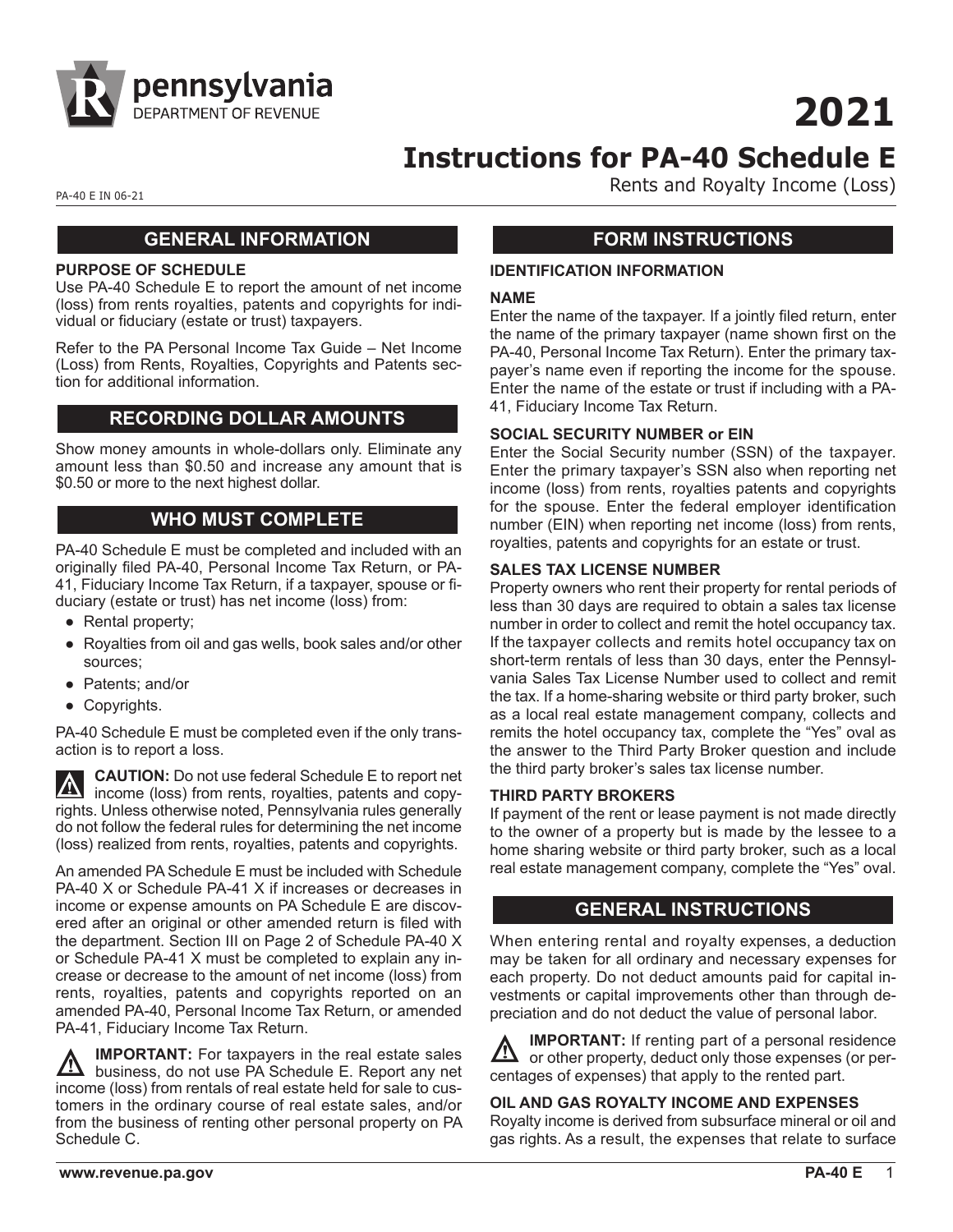

**2021**

# **Instructions for PA-40 Schedule E**

PA-40 E IN 06-21 **PA-40 E IN 06-21** 

## **GENERAL INFORMATION**

#### **PURPOSE OF SCHEDULE**

Use PA-40 Schedule E to report the amount of net income (loss) from rents royalties, patents and copyrights for individual or fiduciary (estate or trust) taxpayers.

Refer to the PA Personal Income Tax Guide – Net Income (Loss) from Rents, Royalties, Copyrights and Patents section for additional information.

#### **RECORDING DOLLAR AMOUNTS**

Show money amounts in whole-dollars only. Eliminate any amount less than \$0.50 and increase any amount that is \$0.50 or more to the next highest dollar.

## **WHO MUST COMPLETE**

PA-40 Schedule E must be completed and included with an originally filed PA-40, Personal Income Tax Return, or PA-41, Fiduciary Income Tax Return, if a taxpayer, spouse or fiduciary (estate or trust) has net income (loss) from:

- Rental property;
- Royalties from oil and gas wells, book sales and/or other sources;
- Patents; and/or
- Copyrights.

PA-40 Schedule E must be completed even if the only transaction is to report a loss.

**CAUTION:** Do not use federal Schedule E to report net  $\vert \nabla \vert$ income (loss) from rents, royalties, patents and copyrights. Unless otherwise noted, Pennsylvania rules generally do not follow the federal rules for determining the net income (loss) realized from rents, royalties, patents and copyrights.

An amended PA Schedule E must be included with Schedule PA-40 X or Schedule PA-41 X if increases or decreases in income or expense amounts on PA Schedule E are discovered after an original or other amended return is filed with the department. Section III on Page 2 of Schedule PA-40 X or Schedule PA-41 X must be completed to explain any increase or decrease to the amount of net income (loss) from rents, royalties, patents and copyrights reported on an amended PA-40, Personal Income Tax Return, or amended PA-41, Fiduciary Income Tax Return.

**IMPORTANT:** For taxpayers in the real estate sales <u>/Л</u> business, do not use PA Schedule E. Report any net income (loss) from rentals of real estate held for sale to customers in the ordinary course of real estate sales, and/or from the business of renting other personal property on PA Schedule C.

## **FORM INSTRUCTIONS**

#### **IDENTIFICATION INFORMATION**

#### **NAME**

Enter the name of the taxpayer. If a jointly filed return, enter the name of the primary taxpayer (name shown first on the PA-40, Personal Income Tax Return). Enter the primary taxpayer's name even if reporting the income for the spouse. Enter the name of the estate or trust if including with a PA-41, Fiduciary Income Tax Return.

#### **SOCIAL SECURITY NUMBER or EIN**

Enter the Social Security number (SSN) of the taxpayer. Enter the primary taxpayer's SSN also when reporting net income (loss) from rents, royalties patents and copyrights for the spouse. Enter the federal employer identification number (EIN) when reporting net income (loss) from rents, royalties, patents and copyrights for an estate or trust.

#### **SALES TAX LICENSE NUMBER**

Property owners who rent their property for rental periods of less than 30 days are required to obtain a sales tax license number in order to collect and remit the hotel occupancy tax. If the taxpayer collects and remits hotel occupancy tax on short-term rentals of less than 30 days, enter the Pennsylvania Sales Tax License Number used to collect and remit the tax. If a home-sharing website or third party broker, such as a local real estate management company, collects and remits the hotel occupancy tax, complete the "Yes" oval as the answer to the Third Party Broker question and include the third party broker's sales tax license number.

#### **THIRD PARTY BROKERS**

If payment of the rent or lease payment is not made directly to the owner of a property but is made by the lessee to a home sharing website or third party broker, such as a local real estate management company, complete the "Yes" oval.

#### **GENERAL INSTRUCTIONS**

When entering rental and royalty expenses, a deduction may be taken for all ordinary and necessary expenses for each property. Do not deduct amounts paid for capital investments or capital improvements other than through depreciation and do not deduct the value of personal labor.

**IMPORTANT:** If renting part of a personal residence <u>/\</u> or other property, deduct only those expenses (or percentages of expenses) that apply to the rented part.

#### **OIL AND GAS ROYALTY INCOME AND EXPENSES**

Royalty income is derived from subsurface mineral or oil and gas rights. As a result, the expenses that relate to surface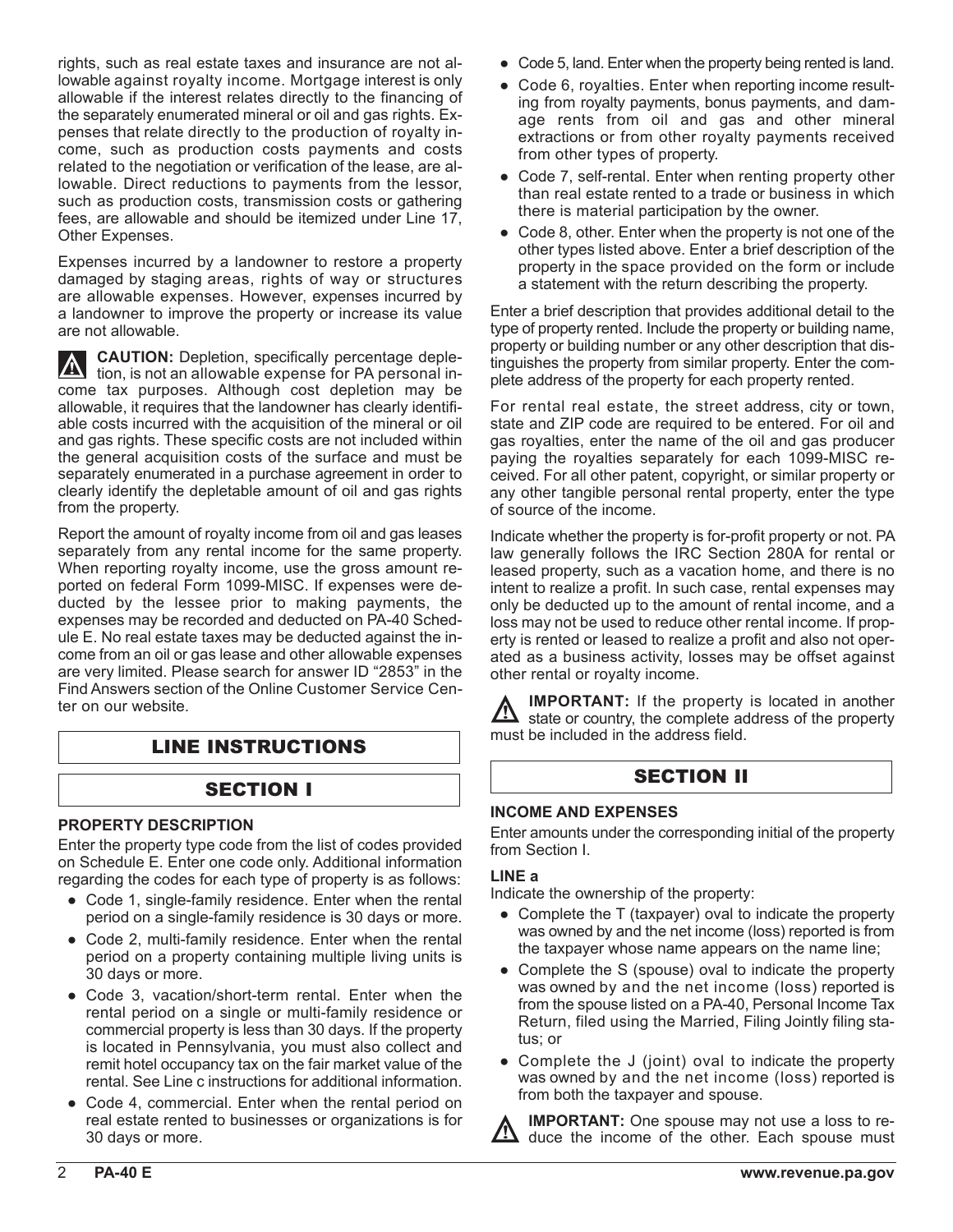rights, such as real estate taxes and insurance are not allowable against royalty income. Mortgage interest is only allowable if the interest relates directly to the financing of the separately enumerated mineral or oil and gas rights. Expenses that relate directly to the production of royalty income, such as production costs payments and costs related to the negotiation or verification of the lease, are allowable. Direct reductions to payments from the lessor, such as production costs, transmission costs or gathering fees, are allowable and should be itemized under Line 17, Other Expenses.

Expenses incurred by a landowner to restore a property damaged by staging areas, rights of way or structures are allowable expenses. However, expenses incurred by a landowner to improve the property or increase its value are not allowable.

**CAUTION:** Depletion, specifically percentage deple- $\overline{\mathbb{V}}$ tion, is not an allowable expense for PA personal income tax purposes. Although cost depletion may be allowable, it requires that the landowner has clearly identifiable costs incurred with the acquisition of the mineral or oil and gas rights. These specific costs are not included within the general acquisition costs of the surface and must be separately enumerated in a purchase agreement in order to clearly identify the depletable amount of oil and gas rights from the property.

Report the amount of royalty income from oil and gas leases separately from any rental income for the same property. When reporting royalty income, use the gross amount reported on federal Form 1099-MISC. If expenses were deducted by the lessee prior to making payments, the expenses may be recorded and deducted on PA-40 Schedule E. No real estate taxes may be deducted against the income from an oil or gas lease and other allowable expenses are very limited. Please search for answer ID "2853" in the Find Answers section of the Online Customer Service Center on our website.

## LINE INSTRUCTIONS

# SECTION I SECTION I

#### **PROPERTY DESCRIPTION**

Enter the property type code from the list of codes provided on Schedule E. Enter one code only. Additional information regarding the codes for each type of property is as follows:

- Code 1, single-family residence. Enter when the rental period on a single-family residence is 30 days or more.
- Code 2, multi-family residence. Enter when the rental period on a property containing multiple living units is 30 days or more.
- Code 3, vacation/short-term rental. Enter when the rental period on a single or multi-family residence or commercial property is less than 30 days. If the property is located in Pennsylvania, you must also collect and remit hotel occupancy tax on the fair market value of the rental. See Line c instructions for additional information.
- Code 4, commercial. Enter when the rental period on real estate rented to businesses or organizations is for 30 days or more.
- Code 5, land. Enter when the property being rented is land.
- Code 6, royalties. Enter when reporting income resulting from royalty payments, bonus payments, and damage rents from oil and gas and other mineral extractions or from other royalty payments received from other types of property.
- Code 7, self-rental. Enter when renting property other than real estate rented to a trade or business in which there is material participation by the owner.
- Code 8, other. Enter when the property is not one of the other types listed above. Enter a brief description of the property in the space provided on the form or include a statement with the return describing the property.

Enter a brief description that provides additional detail to the type of property rented. Include the property or building name, property or building number or any other description that distinguishes the property from similar property. Enter the complete address of the property for each property rented.

For rental real estate, the street address, city or town, state and ZIP code are required to be entered. For oil and gas royalties, enter the name of the oil and gas producer paying the royalties separately for each 1099-MISC received. For all other patent, copyright, or similar property or any other tangible personal rental property, enter the type of source of the income.

Indicate whether the property is for-profit property or not. PA law generally follows the IRC Section 280A for rental or leased property, such as a vacation home, and there is no intent to realize a profit. In such case, rental expenses may only be deducted up to the amount of rental income, and a loss may not be used to reduce other rental income. If property is rented or leased to realize a profit and also not operated as a business activity, losses may be offset against other rental or royalty income.

**IMPORTANT:** If the property is located in another  $\Delta$  state or country, the complete address of the property must be included in the address field.

#### **INCOME AND EXPENSES**

Enter amounts under the corresponding initial of the property from Section I.

#### **LINE a**

Indicate the ownership of the property:

- Complete the T (taxpayer) oval to indicate the property was owned by and the net income (loss) reported is from the taxpayer whose name appears on the name line;
- Complete the S (spouse) oval to indicate the property was owned by and the net income (loss) reported is from the spouse listed on a PA-40, Personal Income Tax Return, filed using the Married, Filing Jointly filing status; or
- Complete the J (joint) oval to indicate the property was owned by and the net income (loss) reported is from both the taxpayer and spouse.

**IMPORTANT:** One spouse may not use a loss to re- $\angle$  duce the income of the other. Each spouse must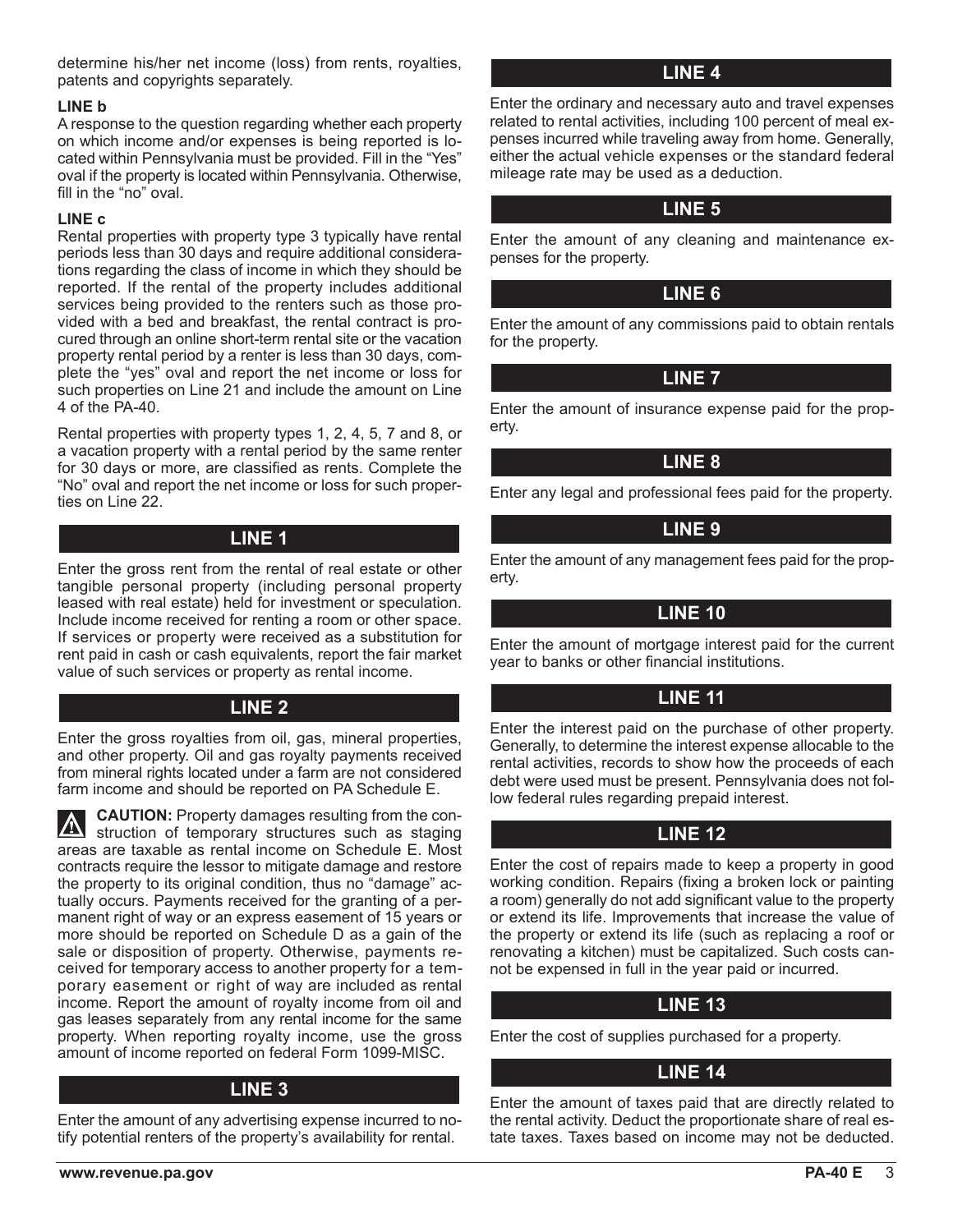determine his/her net income (loss) from rents, royalties, patents and copyrights separately.

#### **LINE b**

A response to the question regarding whether each property on which income and/or expenses is being reported is located within Pennsylvania must be provided. Fill in the "Yes" oval if the property is located within Pennsylvania. Otherwise, fill in the "no" oval.

#### **LINE c**

Rental properties with property type 3 typically have rental periods less than 30 days and require additional considerations regarding the class of income in which they should be reported. If the rental of the property includes additional services being provided to the renters such as those provided with a bed and breakfast, the rental contract is procured through an online short-term rental site or the vacation property rental period by a renter is less than 30 days, complete the "yes" oval and report the net income or loss for such properties on Line 21 and include the amount on Line 4 of the PA-40.

Rental properties with property types 1, 2, 4, 5, 7 and 8, or a vacation property with a rental period by the same renter for 30 days or more, are classified as rents. Complete the "No" oval and report the net income or loss for such properties on Line 22.

## **LINE 1**

Enter the gross rent from the rental of real estate or other tangible personal property (including personal property leased with real estate) held for investment or speculation. Include income received for renting a room or other space. If services or property were received as a substitution for rent paid in cash or cash equivalents, report the fair market value of such services or property as rental income.

#### **LINE 2**

Enter the gross royalties from oil, gas, mineral properties, and other property. Oil and gas royalty payments received from mineral rights located under a farm are not considered farm income and should be reported on PA Schedule E.

**CAUTION:** Property damages resulting from the con- $\sqrt{N}$ struction of temporary structures such as staging areas are taxable as rental income on Schedule E. Most contracts require the lessor to mitigate damage and restore the property to its original condition, thus no "damage" actually occurs. Payments received for the granting of a permanent right of way or an express easement of 15 years or more should be reported on Schedule D as a gain of the sale or disposition of property. Otherwise, payments received for temporary access to another property for a temporary easement or right of way are included as rental income. Report the amount of royalty income from oil and gas leases separately from any rental income for the same property. When reporting royalty income, use the gross amount of income reported on federal Form 1099-MISC.

#### **LINE 3**

Enter the amount of any advertising expense incurred to notify potential renters of the property's availability for rental.

## **LINE 4**

Enter the ordinary and necessary auto and travel expenses related to rental activities, including 100 percent of meal expenses incurred while traveling away from home. Generally, either the actual vehicle expenses or the standard federal mileage rate may be used as a deduction.

## **LINE 5**

Enter the amount of any cleaning and maintenance expenses for the property.

#### **LINE 6**

Enter the amount of any commissions paid to obtain rentals for the property.

## **LINE 7**

Enter the amount of insurance expense paid for the property.

## **LINE 8**

Enter any legal and professional fees paid for the property.

## **LINE 9**

Enter the amount of any management fees paid for the property.

## **LINE 10**

Enter the amount of mortgage interest paid for the current year to banks or other financial institutions.

## **LINE 11**

Enter the interest paid on the purchase of other property. Generally, to determine the interest expense allocable to the rental activities, records to show how the proceeds of each debt were used must be present. Pennsylvania does not follow federal rules regarding prepaid interest.

## **LINE 12**

Enter the cost of repairs made to keep a property in good working condition. Repairs (fixing a broken lock or painting a room) generally do not add significant value to the property or extend its life. Improvements that increase the value of the property or extend its life (such as replacing a roof or renovating a kitchen) must be capitalized. Such costs cannot be expensed in full in the year paid or incurred.

## **LINE 13**

Enter the cost of supplies purchased for a property.

## **LINE 14**

Enter the amount of taxes paid that are directly related to the rental activity. Deduct the proportionate share of real estate taxes. Taxes based on income may not be deducted.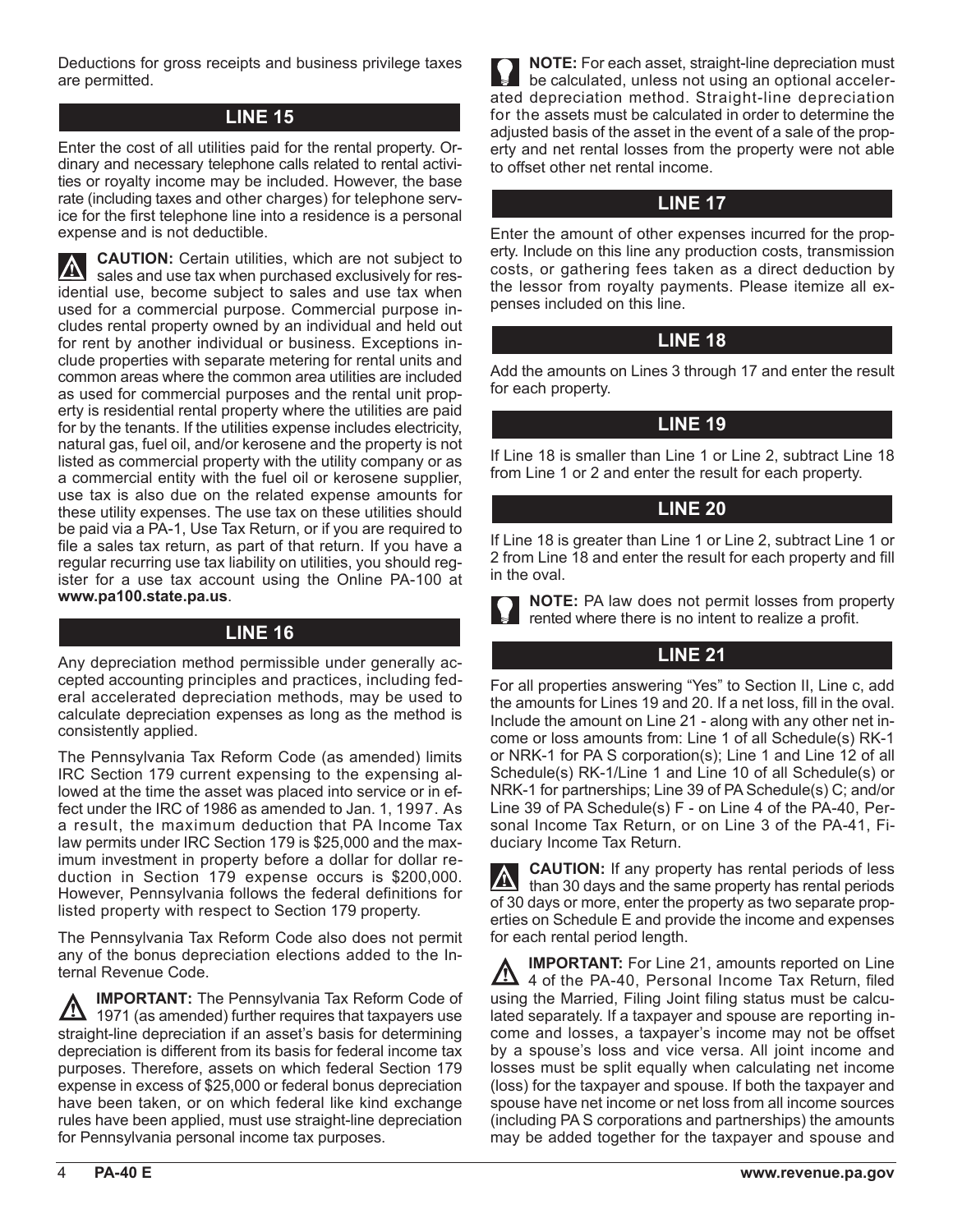Deductions for gross receipts and business privilege taxes are permitted.

#### **LINE 15**

Enter the cost of all utilities paid for the rental property. Ordinary and necessary telephone calls related to rental activities or royalty income may be included. However, the base rate (including taxes and other charges) for telephone service for the first telephone line into a residence is a personal expense and is not deductible.

**CAUTION:** Certain utilities, which are not subject to  $\mathbf{N}$ sales and use tax when purchased exclusively for residential use, become subject to sales and use tax when used for a commercial purpose. Commercial purpose includes rental property owned by an individual and held out for rent by another individual or business. Exceptions include properties with separate metering for rental units and common areas where the common area utilities are included as used for commercial purposes and the rental unit property is residential rental property where the utilities are paid for by the tenants. If the utilities expense includes electricity, natural gas, fuel oil, and/or kerosene and the property is not listed as commercial property with the utility company or as a commercial entity with the fuel oil or kerosene supplier, use tax is also due on the related expense amounts for these utility expenses. The use tax on these utilities should be paid via a PA-1, Use Tax Return, or if you are required to file a sales tax return, as part of that return. If you have a regular recurring use tax liability on utilities, you should register for a use tax account using the Online PA-100 at **www.pa100.state.pa.us**.

#### **LINE 16**

Any depreciation method permissible under generally accepted accounting principles and practices, including federal accelerated depreciation methods, may be used to calculate depreciation expenses as long as the method is consistently applied.

The Pennsylvania Tax Reform Code (as amended) limits IRC Section 179 current expensing to the expensing allowed at the time the asset was placed into service or in effect under the IRC of 1986 as amended to Jan. 1, 1997. As a result, the maximum deduction that PA Income Tax law permits under IRC Section 179 is \$25,000 and the maximum investment in property before a dollar for dollar reduction in Section 179 expense occurs is \$200,000. However, Pennsylvania follows the federal definitions for listed property with respect to Section 179 property.

The Pennsylvania Tax Reform Code also does not permit any of the bonus depreciation elections added to the Internal Revenue Code.

**IMPORTANT:** The Pennsylvania Tax Reform Code of <u>/Л</u> 1971 (as amended) further requires that taxpayers use straight-line depreciation if an asset's basis for determining depreciation is different from its basis for federal income tax purposes. Therefore, assets on which federal Section 179 expense in excess of \$25,000 or federal bonus depreciation have been taken, or on which federal like kind exchange rules have been applied, must use straight-line depreciation for Pennsylvania personal income tax purposes.

**NOTE:** For each asset, straight-line depreciation must be calculated, unless not using an optional accelerated depreciation method. Straight-line depreciation for the assets must be calculated in order to determine the adjusted basis of the asset in the event of a sale of the property and net rental losses from the property were not able to offset other net rental income.

#### **LINE 17**

Enter the amount of other expenses incurred for the property. Include on this line any production costs, transmission costs, or gathering fees taken as a direct deduction by the lessor from royalty payments. Please itemize all expenses included on this line.

#### **LINE 18**

Add the amounts on Lines 3 through 17 and enter the result for each property.

#### **LINE 19**

If Line 18 is smaller than Line 1 or Line 2, subtract Line 18 from Line 1 or 2 and enter the result for each property.

#### **LINE 20**

If Line 18 is greater than Line 1 or Line 2, subtract Line 1 or 2 from Line 18 and enter the result for each property and fill in the oval.

**NOTE:** PA law does not permit losses from property rented where there is no intent to realize a profit.

## **LINE 21**

For all properties answering "Yes" to Section II, Line c, add the amounts for Lines 19 and 20. If a net loss, fill in the oval. Include the amount on Line 21 - along with any other net income or loss amounts from: Line 1 of all Schedule(s) RK-1 or NRK-1 for PA S corporation(s); Line 1 and Line 12 of all Schedule(s) RK-1/Line 1 and Line 10 of all Schedule(s) or NRK-1 for partnerships; Line 39 of PA Schedule(s) C; and/or Line 39 of PA Schedule(s) F - on Line 4 of the PA-40, Personal Income Tax Return, or on Line 3 of the PA-41, Fiduciary Income Tax Return.

**CAUTION:** If any property has rental periods of less  $\Lambda$ than 30 days and the same property has rental periods of 30 days or more, enter the property as two separate properties on Schedule E and provide the income and expenses for each rental period length.

**IMPORTANT:** For Line 21, amounts reported on Line <u>/\</u> 4 of the PA-40, Personal Income Tax Return, filed using the Married, Filing Joint filing status must be calculated separately. If a taxpayer and spouse are reporting income and losses, a taxpayer's income may not be offset by a spouse's loss and vice versa. All joint income and losses must be split equally when calculating net income (loss) for the taxpayer and spouse. If both the taxpayer and spouse have net income or net loss from all income sources (including PA S corporations and partnerships) the amounts may be added together for the taxpayer and spouse and